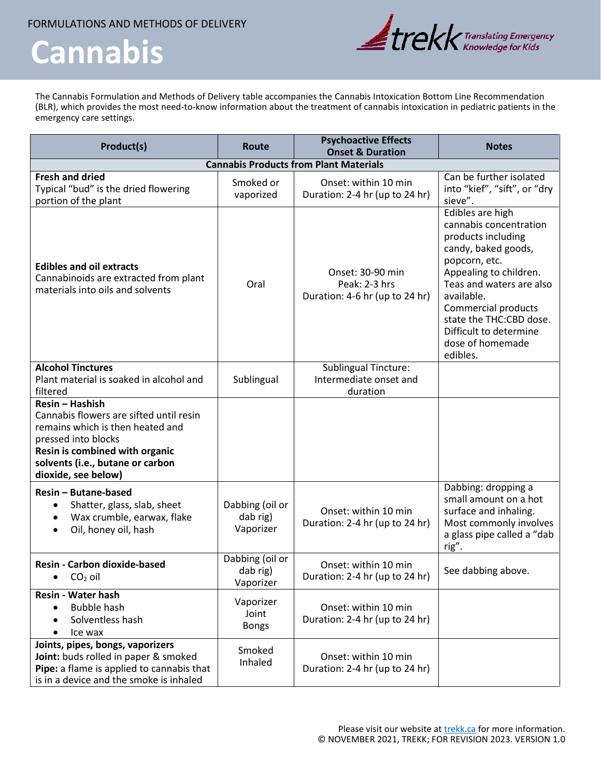FORMULATIONS AND METHODS OF DELIVERY

## **Cannabis**



The Cannabis Formulation and Methods of Delivery table accompanies the Cannabis Intoxication Bottom Line Recommendation (BLR), which provides the most need-to-know information about the treatment of cannabis intoxication in pediatric patients in the emergency care settings.

| Product(s)                                                                                                                                                                                                         | <b>Route</b>                             | <b>Psychoactive Effects</b><br><b>Onset &amp; Duration</b>          | <b>Notes</b>                                                                                                                                                                                                                                                                             |  |  |
|--------------------------------------------------------------------------------------------------------------------------------------------------------------------------------------------------------------------|------------------------------------------|---------------------------------------------------------------------|------------------------------------------------------------------------------------------------------------------------------------------------------------------------------------------------------------------------------------------------------------------------------------------|--|--|
| <b>Cannabis Products from Plant Materials</b>                                                                                                                                                                      |                                          |                                                                     |                                                                                                                                                                                                                                                                                          |  |  |
| <b>Fresh and dried</b><br>Typical "bud" is the dried flowering<br>portion of the plant                                                                                                                             | Smoked or<br>vaporized                   | Onset: within 10 min<br>Duration: 2-4 hr (up to 24 hr)              | Can be further isolated<br>into "kief", "sift", or "dry<br>sieve".                                                                                                                                                                                                                       |  |  |
| <b>Edibles and oil extracts</b><br>Cannabinoids are extracted from plant<br>materials into oils and solvents                                                                                                       | Oral                                     | Onset: 30-90 min<br>Peak: 2-3 hrs<br>Duration: 4-6 hr (up to 24 hr) | Edibles are high<br>cannabis concentration<br>products including<br>candy, baked goods,<br>popcorn, etc.<br>Appealing to children.<br>Teas and waters are also<br>available.<br>Commercial products<br>state the THC:CBD dose.<br>Difficult to determine<br>dose of homemade<br>edibles. |  |  |
| <b>Alcohol Tinctures</b><br>Plant material is soaked in alcohol and<br>filtered                                                                                                                                    | Sublingual                               | <b>Sublingual Tincture:</b><br>Intermediate onset and<br>duration   |                                                                                                                                                                                                                                                                                          |  |  |
| Resin - Hashish<br>Cannabis flowers are sifted until resin<br>remains which is then heated and<br>pressed into blocks<br>Resin is combined with organic<br>solvents (i.e., butane or carbon<br>dioxide, see below) |                                          |                                                                     |                                                                                                                                                                                                                                                                                          |  |  |
| Resin - Butane-based<br>Shatter, glass, slab, sheet<br>$\bullet$<br>Wax crumble, earwax, flake<br>$\bullet$<br>Oil, honey oil, hash<br>$\bullet$                                                                   | Dabbing (oil or<br>dab rig)<br>Vaporizer | Onset: within 10 min<br>Duration: 2-4 hr (up to 24 hr)              | Dabbing: dropping a<br>small amount on a hot<br>surface and inhaling.<br>Most commonly involves<br>a glass pipe called a "dab<br>rig".                                                                                                                                                   |  |  |
| <b>Resin - Carbon dioxide-based</b><br>$CO2$ oil                                                                                                                                                                   | Dabbing (oil or<br>dab rig)<br>Vaporizer | Onset: within 10 min<br>Duration: 2-4 hr (up to 24 hr)              | See dabbing above.                                                                                                                                                                                                                                                                       |  |  |
| <b>Resin - Water hash</b><br><b>Bubble hash</b><br>Solventless hash<br>Ice wax<br>$\bullet$                                                                                                                        | Vaporizer<br>Joint<br><b>Bongs</b>       | Onset: within 10 min<br>Duration: 2-4 hr (up to 24 hr)              |                                                                                                                                                                                                                                                                                          |  |  |
| Joints, pipes, bongs, vaporizers<br>Joint: buds rolled in paper & smoked<br>Pipe: a flame is applied to cannabis that<br>is in a device and the smoke is inhaled                                                   | Smoked<br>Inhaled                        | Onset: within 10 min<br>Duration: 2-4 hr (up to 24 hr)              |                                                                                                                                                                                                                                                                                          |  |  |